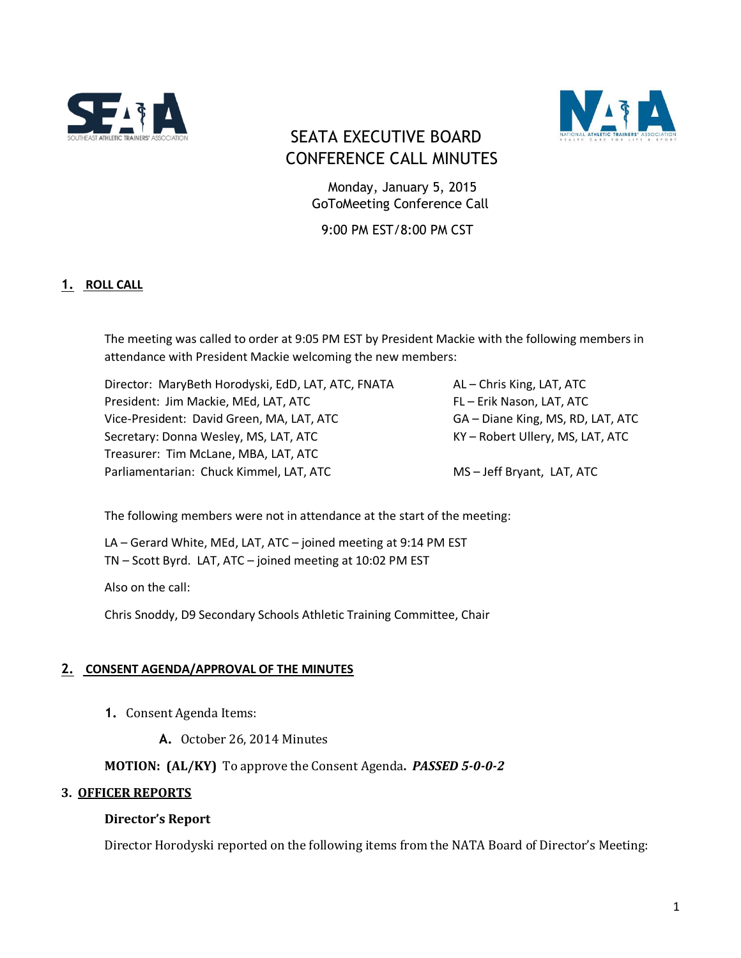



## SEATA EXECUTIVE BOARD CONFERENCE CALL MINUTES

 Monday, January 5, 2015 GoToMeeting Conference Call

9:00 PM EST/8:00 PM CST

## **1. ROLL CALL**

The meeting was called to order at 9:05 PM EST by President Mackie with the following members in attendance with President Mackie welcoming the new members:

Director: MaryBeth Horodyski, EdD, LAT, ATC, FNATA AL - Chris King, LAT, ATC President: Jim Mackie, MEd, LAT, ATC FLOREST FL – Erik Nason, LAT, ATC Vice-President: David Green, MA, LAT, ATC GA – Diane King, MS, RD, LAT, ATC Secretary: Donna Wesley, MS, LAT, ATC KY – Robert Ullery, MS, LAT, ATC Treasurer: Tim McLane, MBA, LAT, ATC Parliamentarian: Chuck Kimmel, LAT, ATC MS – Jeff Bryant, LAT, ATC

The following members were not in attendance at the start of the meeting:

LA – Gerard White, MEd, LAT, ATC – joined meeting at 9:14 PM EST TN – Scott Byrd. LAT, ATC – joined meeting at 10:02 PM EST

Also on the call:

Chris Snoddy, D9 Secondary Schools Athletic Training Committee, Chair

#### **2. CONSENT AGENDA/APPROVAL OF THE MINUTES**

- **1.** Consent Agenda Items:
	- **A.** October 26, 2014 Minutes

**MOTION: (AL/KY)** To approve the Consent Agenda**.** *PASSED 5-0-0-2*

#### **3. OFFICER REPORTS**

#### **Director's Report**

Director Horodyski reported on the following items from the NATA Board of Director's Meeting: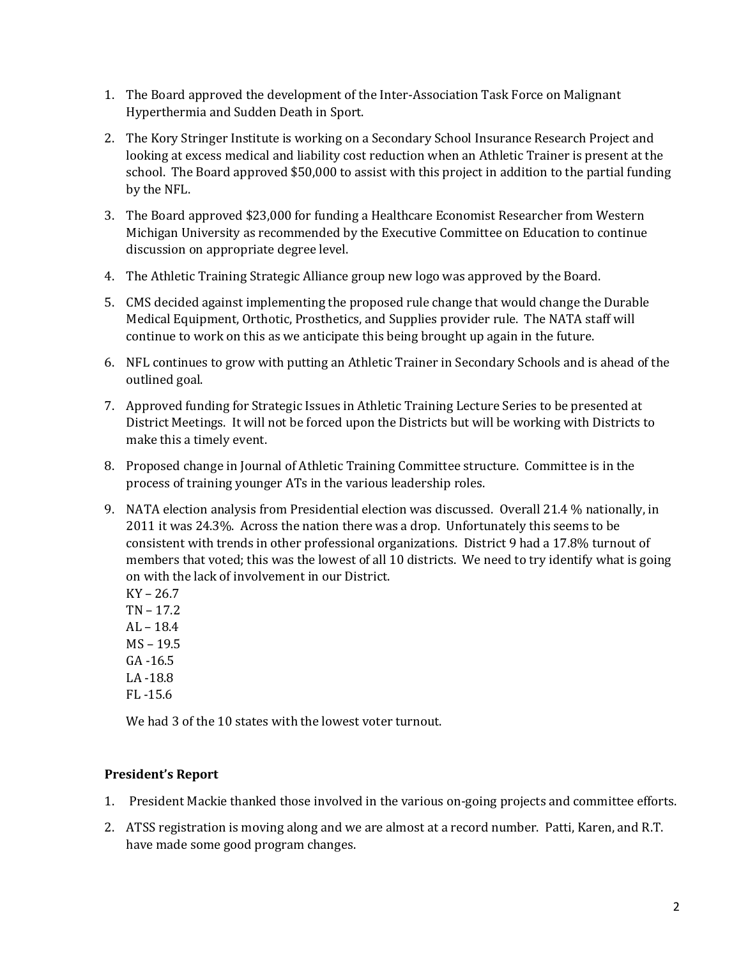- 1. The Board approved the development of the Inter-Association Task Force on Malignant Hyperthermia and Sudden Death in Sport.
- 2. The Kory Stringer Institute is working on a Secondary School Insurance Research Project and looking at excess medical and liability cost reduction when an Athletic Trainer is present at the school. The Board approved \$50,000 to assist with this project in addition to the partial funding by the NFL.
- 3. The Board approved \$23,000 for funding a Healthcare Economist Researcher from Western Michigan University as recommended by the Executive Committee on Education to continue discussion on appropriate degree level.
- 4. The Athletic Training Strategic Alliance group new logo was approved by the Board.
- 5. CMS decided against implementing the proposed rule change that would change the Durable Medical Equipment, Orthotic, Prosthetics, and Supplies provider rule. The NATA staff will continue to work on this as we anticipate this being brought up again in the future.
- 6. NFL continues to grow with putting an Athletic Trainer in Secondary Schools and is ahead of the outlined goal.
- 7. Approved funding for Strategic Issues in Athletic Training Lecture Series to be presented at District Meetings. It will not be forced upon the Districts but will be working with Districts to make this a timely event.
- 8. Proposed change in Journal of Athletic Training Committee structure. Committee is in the process of training younger ATs in the various leadership roles.
- 9. NATA election analysis from Presidential election was discussed. Overall 21.4 % nationally, in 2011 it was 24.3%. Across the nation there was a drop. Unfortunately this seems to be consistent with trends in other professional organizations. District 9 had a 17.8% turnout of members that voted; this was the lowest of all 10 districts. We need to try identify what is going on with the lack of involvement in our District.

KY – 26.7 TN – 17.2  $AL - 18.4$ MS – 19.5 GA -16.5 LA -18.8

FL -15.6

We had 3 of the 10 states with the lowest voter turnout.

## **President's Report**

- 1. President Mackie thanked those involved in the various on-going projects and committee efforts.
- 2. ATSS registration is moving along and we are almost at a record number. Patti, Karen, and R.T. have made some good program changes.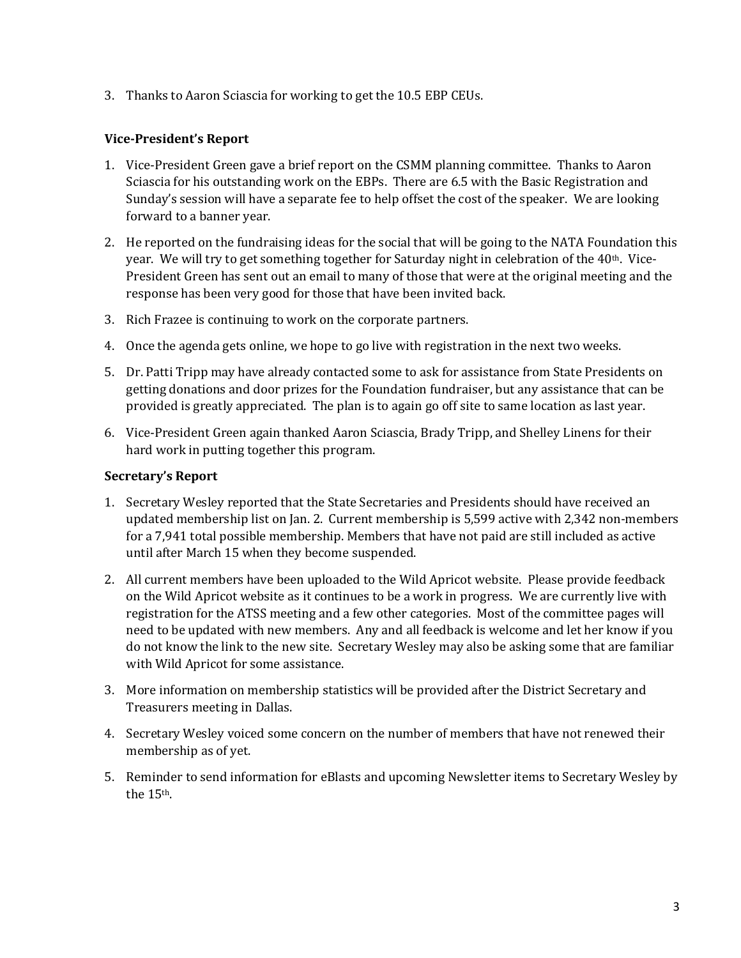3. Thanks to Aaron Sciascia for working to get the 10.5 EBP CEUs.

#### **Vice-President's Report**

- 1. Vice-President Green gave a brief report on the CSMM planning committee. Thanks to Aaron Sciascia for his outstanding work on the EBPs. There are 6.5 with the Basic Registration and Sunday's session will have a separate fee to help offset the cost of the speaker. We are looking forward to a banner year.
- 2. He reported on the fundraising ideas for the social that will be going to the NATA Foundation this year. We will try to get something together for Saturday night in celebration of the 40<sup>th</sup>. Vice-President Green has sent out an email to many of those that were at the original meeting and the response has been very good for those that have been invited back.
- 3. Rich Frazee is continuing to work on the corporate partners.
- 4. Once the agenda gets online, we hope to go live with registration in the next two weeks.
- 5. Dr. Patti Tripp may have already contacted some to ask for assistance from State Presidents on getting donations and door prizes for the Foundation fundraiser, but any assistance that can be provided is greatly appreciated. The plan is to again go off site to same location as last year.
- 6. Vice-President Green again thanked Aaron Sciascia, Brady Tripp, and Shelley Linens for their hard work in putting together this program.

#### **Secretary's Report**

- 1. Secretary Wesley reported that the State Secretaries and Presidents should have received an updated membership list on Jan. 2. Current membership is 5,599 active with 2,342 non-members for a 7,941 total possible membership. Members that have not paid are still included as active until after March 15 when they become suspended.
- 2. All current members have been uploaded to the Wild Apricot website. Please provide feedback on the Wild Apricot website as it continues to be a work in progress. We are currently live with registration for the ATSS meeting and a few other categories. Most of the committee pages will need to be updated with new members. Any and all feedback is welcome and let her know if you do not know the link to the new site. Secretary Wesley may also be asking some that are familiar with Wild Apricot for some assistance.
- 3. More information on membership statistics will be provided after the District Secretary and Treasurers meeting in Dallas.
- 4. Secretary Wesley voiced some concern on the number of members that have not renewed their membership as of yet.
- 5. Reminder to send information for eBlasts and upcoming Newsletter items to Secretary Wesley by the 15th.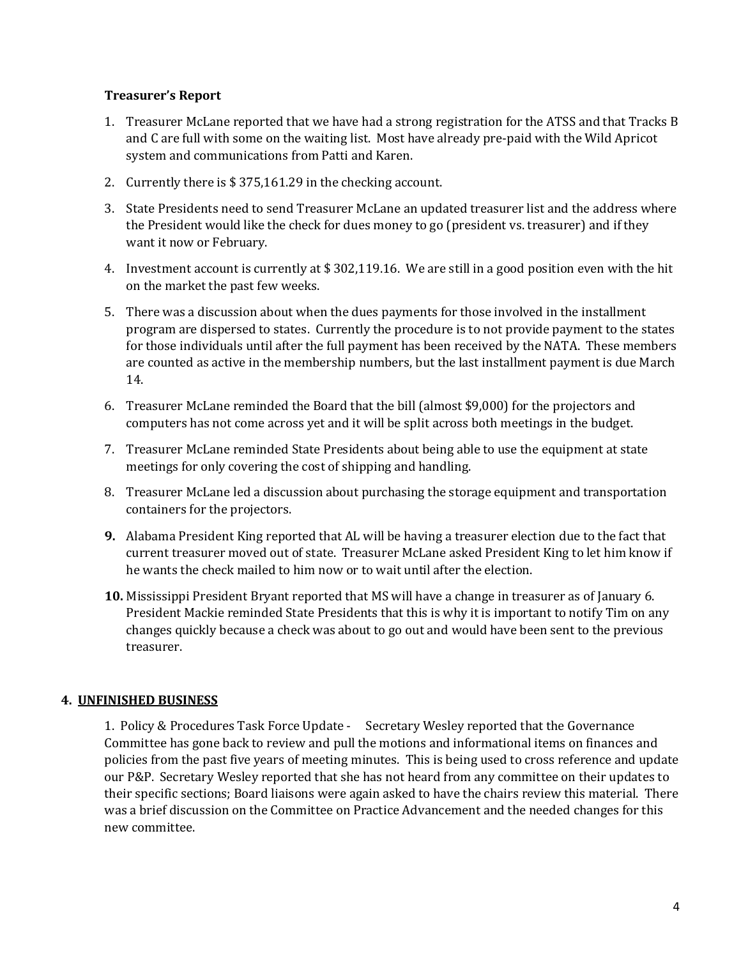#### **Treasurer's Report**

- 1. Treasurer McLane reported that we have had a strong registration for the ATSS and that Tracks B and C are full with some on the waiting list. Most have already pre-paid with the Wild Apricot system and communications from Patti and Karen.
- 2. Currently there is \$ 375,161.29 in the checking account.
- 3. State Presidents need to send Treasurer McLane an updated treasurer list and the address where the President would like the check for dues money to go (president vs. treasurer) and if they want it now or February.
- 4. Investment account is currently at \$ 302,119.16. We are still in a good position even with the hit on the market the past few weeks.
- 5. There was a discussion about when the dues payments for those involved in the installment program are dispersed to states. Currently the procedure is to not provide payment to the states for those individuals until after the full payment has been received by the NATA. These members are counted as active in the membership numbers, but the last installment payment is due March 14.
- 6. Treasurer McLane reminded the Board that the bill (almost \$9,000) for the projectors and computers has not come across yet and it will be split across both meetings in the budget.
- 7. Treasurer McLane reminded State Presidents about being able to use the equipment at state meetings for only covering the cost of shipping and handling.
- 8. Treasurer McLane led a discussion about purchasing the storage equipment and transportation containers for the projectors.
- **9.** Alabama President King reported that AL will be having a treasurer election due to the fact that current treasurer moved out of state. Treasurer McLane asked President King to let him know if he wants the check mailed to him now or to wait until after the election.
- **10.** Mississippi President Bryant reported that MS will have a change in treasurer as of January 6. President Mackie reminded State Presidents that this is why it is important to notify Tim on any changes quickly because a check was about to go out and would have been sent to the previous treasurer.

#### **4. UNFINISHED BUSINESS**

1. Policy & Procedures Task Force Update - Secretary Wesley reported that the Governance Committee has gone back to review and pull the motions and informational items on finances and policies from the past five years of meeting minutes. This is being used to cross reference and update our P&P. Secretary Wesley reported that she has not heard from any committee on their updates to their specific sections; Board liaisons were again asked to have the chairs review this material. There was a brief discussion on the Committee on Practice Advancement and the needed changes for this new committee.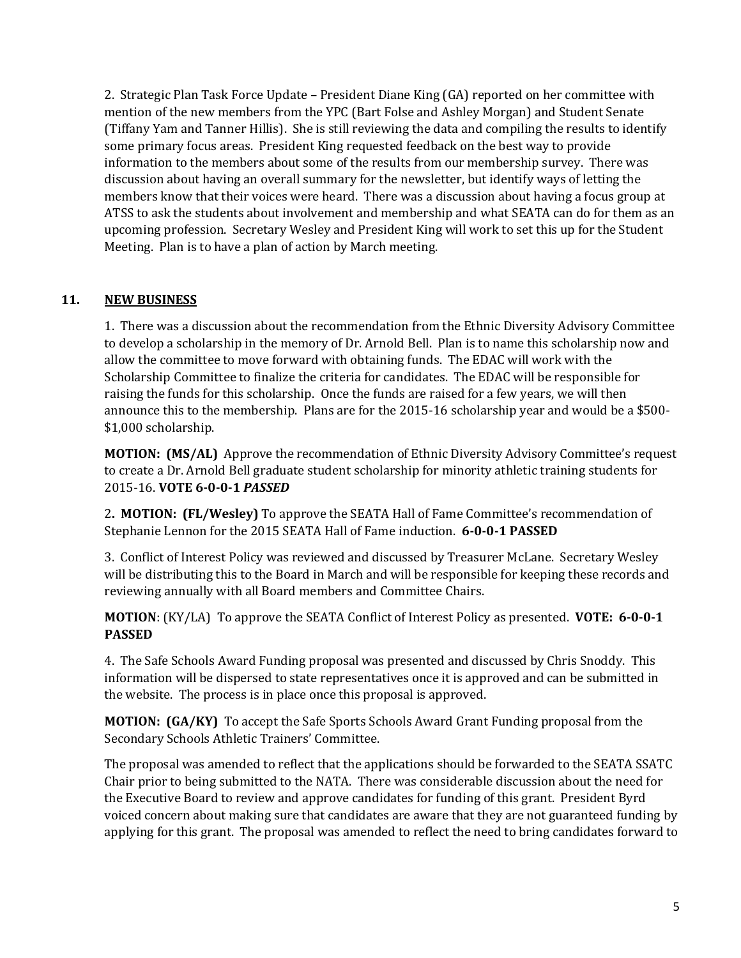2. Strategic Plan Task Force Update – President Diane King (GA) reported on her committee with mention of the new members from the YPC (Bart Folse and Ashley Morgan) and Student Senate (Tiffany Yam and Tanner Hillis). She is still reviewing the data and compiling the results to identify some primary focus areas. President King requested feedback on the best way to provide information to the members about some of the results from our membership survey. There was discussion about having an overall summary for the newsletter, but identify ways of letting the members know that their voices were heard. There was a discussion about having a focus group at ATSS to ask the students about involvement and membership and what SEATA can do for them as an upcoming profession. Secretary Wesley and President King will work to set this up for the Student Meeting. Plan is to have a plan of action by March meeting.

## **11. NEW BUSINESS**

1. There was a discussion about the recommendation from the Ethnic Diversity Advisory Committee to develop a scholarship in the memory of Dr. Arnold Bell. Plan is to name this scholarship now and allow the committee to move forward with obtaining funds. The EDAC will work with the Scholarship Committee to finalize the criteria for candidates. The EDAC will be responsible for raising the funds for this scholarship. Once the funds are raised for a few years, we will then announce this to the membership. Plans are for the 2015-16 scholarship year and would be a \$500- \$1,000 scholarship.

**MOTION: (MS/AL)** Approve the recommendation of Ethnic Diversity Advisory Committee's request to create a Dr. Arnold Bell graduate student scholarship for minority athletic training students for 2015-16. **VOTE 6-0-0-1** *PASSED*

2**. MOTION: (FL/Wesley)** To approve the SEATA Hall of Fame Committee's recommendation of Stephanie Lennon for the 2015 SEATA Hall of Fame induction. **6-0-0-1 PASSED**

3.Conflict of Interest Policy was reviewed and discussed by Treasurer McLane. Secretary Wesley will be distributing this to the Board in March and will be responsible for keeping these records and reviewing annually with all Board members and Committee Chairs.

**MOTION**: (KY/LA) To approve the SEATA Conflict of Interest Policy as presented. **VOTE: 6-0-0-1 PASSED**

4. The Safe Schools Award Funding proposal was presented and discussed by Chris Snoddy. This information will be dispersed to state representatives once it is approved and can be submitted in the website. The process is in place once this proposal is approved.

**MOTION: (GA/KY)** To accept the Safe Sports Schools Award Grant Funding proposal from the Secondary Schools Athletic Trainers' Committee.

The proposal was amended to reflect that the applications should be forwarded to the SEATA SSATC Chair prior to being submitted to the NATA. There was considerable discussion about the need for the Executive Board to review and approve candidates for funding of this grant. President Byrd voiced concern about making sure that candidates are aware that they are not guaranteed funding by applying for this grant. The proposal was amended to reflect the need to bring candidates forward to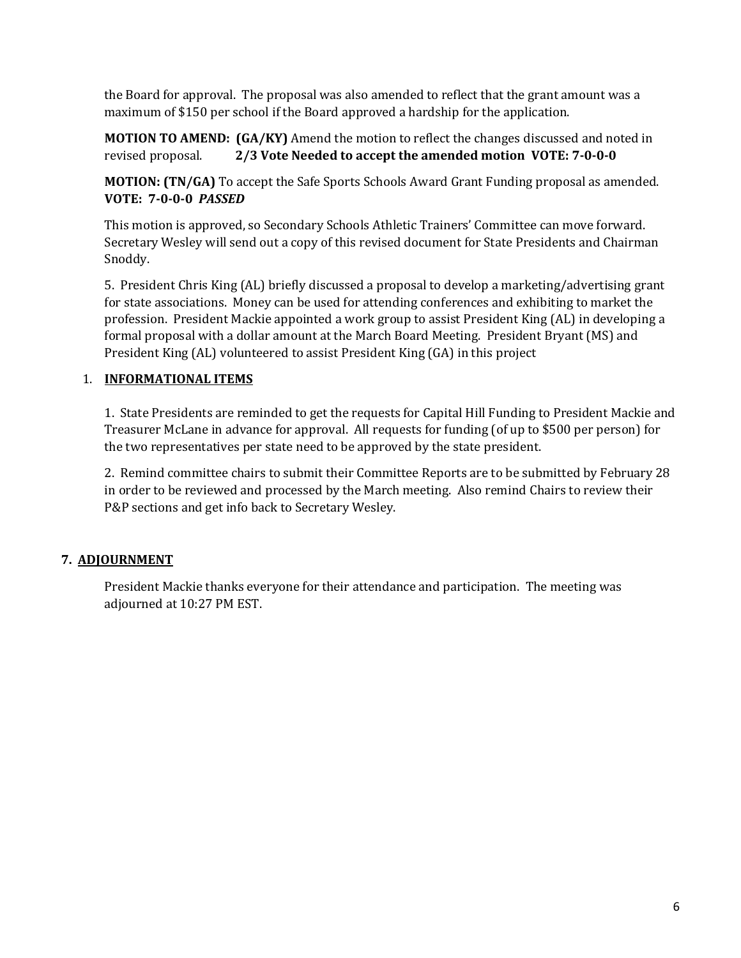the Board for approval. The proposal was also amended to reflect that the grant amount was a maximum of \$150 per school if the Board approved a hardship for the application.

**MOTION TO AMEND: (GA/KY)** Amend the motion to reflect the changes discussed and noted in revised proposal. **2/3 Vote Needed to accept the amended motion VOTE: 7-0-0-0**

**MOTION: (TN/GA)** To accept the Safe Sports Schools Award Grant Funding proposal as amended. **VOTE: 7-0-0-0** *PASSED*

This motion is approved, so Secondary Schools Athletic Trainers' Committee can move forward. Secretary Wesley will send out a copy of this revised document for State Presidents and Chairman Snoddy.

5. President Chris King (AL) briefly discussed a proposal to develop a marketing/advertising grant for state associations. Money can be used for attending conferences and exhibiting to market the profession. President Mackie appointed a work group to assist President King (AL) in developing a formal proposal with a dollar amount at the March Board Meeting. President Bryant (MS) and President King (AL) volunteered to assist President King (GA) in this project

## 1. **INFORMATIONAL ITEMS**

1. State Presidents are reminded to get the requests for Capital Hill Funding to President Mackie and Treasurer McLane in advance for approval. All requests for funding (of up to \$500 per person) for the two representatives per state need to be approved by the state president.

2. Remind committee chairs to submit their Committee Reports are to be submitted by February 28 in order to be reviewed and processed by the March meeting. Also remind Chairs to review their P&P sections and get info back to Secretary Wesley.

## **7. ADJOURNMENT**

President Mackie thanks everyone for their attendance and participation. The meeting was adjourned at 10:27 PM EST.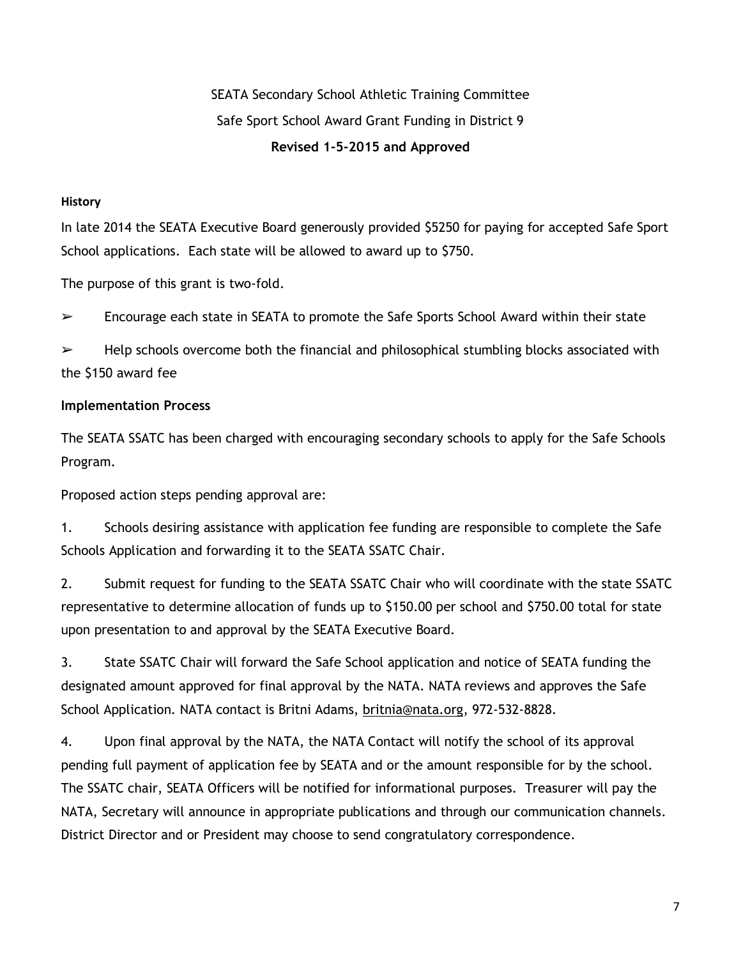# SEATA Secondary School Athletic Training Committee Safe Sport School Award Grant Funding in District 9 **Revised 1-5-2015 and Approved**

### **History**

In late 2014 the SEATA Executive Board generously provided \$5250 for paying for accepted Safe Sport School applications. Each state will be allowed to award up to \$750.

The purpose of this grant is two-fold.

 $\triangleright$  Encourage each state in SEATA to promote the Safe Sports School Award within their state

 $\triangleright$  Help schools overcome both the financial and philosophical stumbling blocks associated with the \$150 award fee

## **Implementation Process**

The SEATA SSATC has been charged with encouraging secondary schools to apply for the Safe Schools Program.

Proposed action steps pending approval are:

1. Schools desiring assistance with application fee funding are responsible to complete the Safe Schools Application and forwarding it to the SEATA SSATC Chair.

2. Submit request for funding to the SEATA SSATC Chair who will coordinate with the state SSATC representative to determine allocation of funds up to \$150.00 per school and \$750.00 total for state upon presentation to and approval by the SEATA Executive Board.

3. State SSATC Chair will forward the Safe School application and notice of SEATA funding the designated amount approved for final approval by the NATA. NATA reviews and approves the Safe School Application. NATA contact is Britni Adams, [britnia@nata.org,](mailto:britnia@nata.org) 972-532-8828.

4. Upon final approval by the NATA, the NATA Contact will notify the school of its approval pending full payment of application fee by SEATA and or the amount responsible for by the school. The SSATC chair, SEATA Officers will be notified for informational purposes. Treasurer will pay the NATA, Secretary will announce in appropriate publications and through our communication channels. District Director and or President may choose to send congratulatory correspondence.